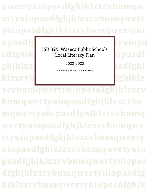**qwertyuiopasdfghjklzxcvbnmqw ertyuiopasdfghjklzxcvbnmqwert yuiopasdfghjklzxcvbnmqwertyui**

sdfghjk bold, wascear abile believing opasdf ISD 829, Waseca Public Schools Local Literacy Plan

2022-2023

Elementary Principal: Ben O'Brien

opasdfg<sub>bla</sub>ckswertyuiopa ghjklzxd<sub>2022-2023</sub> asdfghj klzxcvb**ithmatic state of the state of the state of the state of the state of the state of the state of the state of the state of the state of the state of the state of the state of the state of the state of the state of t** 

**xcvbnmqwertyuiopasdfghjklzxcv bnmqwertyuiopasdfghjklzxcvbn mqwertyuiopasdfghjklzxcvbnmq wertyuiopasdfghjklzxcvbnmqwe rtyuiopasdfghjklzxcvbnmqwerty uiopasdfghjklzxcvbnmqwertyuio pasdfghjklzxcvbnmqwertyuiopas dfghjklzxcvbnmqwertyuiopasdfg hjklzxcvbnmqwertyuiopasdfghjk**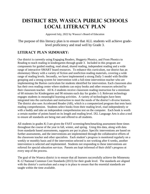# **District 829, Waseca Public schools Local Literacy plan**

Approved July, 2022 by Waseca's Board of Education

The purpose of this literacy plan is to ensure that ALL students will achieve gradelevel proficiency and read well by Grade 3.

### **Literacy Plan Summary:**

Our district is currently using Engaging Readers, Heggerty Phonics, and From Phonics to Reading to teach reading in kindergarten through grade 3. Included in this program are components for guided reading, read aloud, shared reading, independent reading and a wide range of interactive SMART board resources. To enhance this curriculum, our district has an elementary library with a variety of fiction and nonfiction reading materials, covering a wide range of reading levels. Secondly, we have implemented a strong Daily 5 model with flexible grouping and a strong system for intervention with a full-time intervention teacher who are implementing the Barton curriculum for students identified for intervention. Each classroom also has their own reading center where students can enjoy books and other resources selected by their classroom teacher. All K-3 students receive classroom reading instruction for a minimum of 60 minutes for Kindergarten and 90 minutes each day for grades 1-3. Relevant technology engages students in meaningful learning activities. A variety of technologies have been integrated into the curriculum and instruction to meet the needs of the district's diverse learners. The district also uses Accelerated Reader (AR), which is a computerized program that tests basic reading comprehension. Students select books from their reading level, read independently or with a buddy and take an independent comprehension test on the computer. Each book is worth a certain number of points based on its length and reading level. IXL Language Arts is also a tool to ensure all standards are being met and offered to all students.

All students in grades K-3 are given the FAST screening/benchmarking assessment three times throughout the course of the year in fall, winter, and spring. Using this data, along with data from standards based assessments, supports are put in place. Specific interventions are based on further assessments, and the interventions are implemented through the collaborative efforts of the classroom teacher and other specialists. Each student's progress is monitored regularly on a weekly or monthly basis and if the intervention selected is not working after 6 weeks, another intervention is selected and implemented. Students not responding to these interventions are referred for special education services. Parents are kept informed of their child's progress at every step of the process.

The goal of the Waseca district is to ensure that all learners successfully achieve the Minnesota K-12 National Common Core Standards (2013) for their grade level. The standards are aligned with the district's curriculum and a map is in place to ensure that the essential standards are taught within the time available.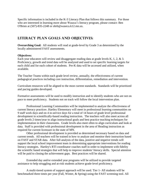Specific information is included in the K-3 Literacy Plan that follows this summary. For those who are interested in learning more about Waseca's literacy program, please contact: Ben O'Brien at (507)-835-2248 or obrb@waseca.k12.mn.us.

### **Literacy Plan Goals and Objectives:**

**Overarching Goal:** All students will read at grade-level by Grade 3 as determined by the locally administered FAST assessments.

#### **Objectives:**

Each year educators will review and disaggregate reading data at grade levels K, 1, 2, & 3. Proficiency, growth and trend data will be analyzed and used to set specific learning targets for each child and for each cohort of students. Pre-K data will be accessed and utilized, when available.

The Teacher Teams within each grade level review, annually, the effectiveness of current pedagogical practices including core instruction, differentiation, remediation and intervention.

Curriculum resources will be aligned to the most current standards. Standards will be prioritized and pacing guides developed.

Formative assessments will be used to modify instruction and to identify students who are not on pace to meet proficiency. Students not on track will follow the local intervention plan.

Professional Learning Communities will be implemented to analyze the effectiveness of current literacy practices .Hartley Elementary will meet in professional learning communities on 9 staff work days and on 4 in-service days for a total of 14 hours of grade level professional development in scientifically-based reading instruction. The teachers will also meet across all grade levels 2 times/year to align instructional goals and best practice teaching techniques for implementation in their classrooms. Grade levels also meet often to align curriculum and look at data. Staff is provided with professional development in the area of Reading instruction as required for current licensure in the state of MN.

Other professional development is provided as determined necessary based on data and current trends. All teachers will be trained in how to analyze and monitor their instruction based on FAST and STAR data. After full analysis of the data, positive and negative trends will support the local school improvement team in determining appropriate interventions for reading literacy strategies. Hartley's RTI coordinator coaches staff in order to implement with fidelity the scientific based strategies that will help to improve students' literacy skills. Special attention will be paid to closing the achievement gaps. Best practices will be shared.

Extended day and/or extended year programs will be utilized to provide targeted assistance to help struggling and at-risk students achieve grade-level proficiency.

A multi-tiered system of support approach will be used. Tier 1- All students will be benchmarked three times per year (Fall, Winter, & Spring) using the FAST screening tool. All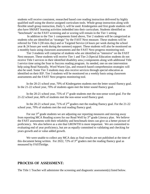students will receive consistent, researched based core reading instruction delivered by highly qualified staff using the district assigned curriculum tools. Whole group instruction along with flexible small group instruction, Daily 5, will be used. Kindergarten and first grade students will also have SMART learning activities imbedded into their curriculum. Students identified as "benchmark" on the FAST screening and or scoring will remain in the Tier 1 setting

In addition to the Tier 1 components listed above, Tier 2 students will be categorized as students who are identified as "strategic" by the FAST Next measure. These students will be referred for Title I (30 min./day) and or Targeted Service (4 hours per week during the school year & 24 hours per week during the summer) support. These students will also be monitored on a monthly basis using classroom assessments and the FAST Next progress monitoring tool.

Tier 3 students will comprise of students who are identified as "intensive" on the FAST Next measure. These students will receive Tier 1 and Tier 2 (Special Education students do not receive Title I services in their identified disability area.) components along with additional Title I service time using the Soar to Success reading program. As needed, one on one intervention help using Read Naturally, Word Warm Ups, and research based comprehension strategies will also be used. Some Tier 3 students may also receive services through special education as identified on their IEP. Tier 3 students will be monitored on a weekly basis using classroom assessments and the FAST Next progress monitoring tool.

In the 20-21 school year, 70% of Kindergarten students met the letter sound fluency goal. In the 21-22 school year, 70% of students again met the letter sound fluency goal.

In the 20-21 school year,  $75\%$  of  $1<sup>st</sup>$  grade students met the non-sense word goal. For the 21-22 school year, 66% of students met the non-sense word fluency goal.

In the 20-21 school year, 71% of 2<sup>nd</sup> graders met the reading fluency goal. For the 21-22 school year, 70% of students met the oral reading fluency goal.

For our  $3<sup>rd</sup>$  grade students we are adjusting our reporting measures and moving away from reporting MCA Reading scores for our Read Well by 3<sup>rd</sup> grade Literacy plan. We believe the FAST assessments with their reliability and benchmark times can give us a better picture of proficiency. We also believe as a site that GROWTH is more important. We are committed to evaluating end of year proficiency, but are as equally committed to validating and checking for years growth and or value added growth.

We were unable to collect any MCA data as final results are not published at the time of this document being written. For 2022, 72% of  $3<sup>rd</sup>$  graders met the reading fluency goal as measured by FASTbridge.

#### **Process of Assessment:**

The Title 1 Teacher will administer the screening and diagnostic assessment(s) listed below.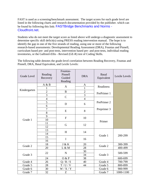FAST is used as a screening/benchmark assessment. The target scores for each grade level are listed in the following charts and research documentation provided by the publisher. which can be found by following this link: [FASTBridge Benchmarks and Norms -](https://www.google.com/url?sa=t&rct=j&q=&esrc=s&source=web&cd=4&ved=0ahUKEwj93ZKX0MDNAhVp8IMKHfkCBrgQFggwMAM&url=https%3A%2F%2Fd2f8p5dd32sgdr.cloudfront.net%2Fdocs%2F2015-16FastBridgeNormsandBenchmarksAllMeasuresFINAL.pdf&usg=AFQjCNErXNyygkqUQEVZHFsfcmeJK9y_mw) [Cloudfront.net.](https://www.google.com/url?sa=t&rct=j&q=&esrc=s&source=web&cd=4&ved=0ahUKEwj93ZKX0MDNAhVp8IMKHfkCBrgQFggwMAM&url=https%3A%2F%2Fd2f8p5dd32sgdr.cloudfront.net%2Fdocs%2F2015-16FastBridgeNormsandBenchmarksAllMeasuresFINAL.pdf&usg=AFQjCNErXNyygkqUQEVZHFsfcmeJK9y_mw)

Students who do not meet the target score as listed above will undergo a diagnostic assessment to determine specific skill deficit(s) using PRESS reading intervention manual. The hope is to identify the gap in one of the five strands of reading, using one or more of the following research-based assessments: Developmental Reading Assessment (DRA), Fountas and Pinnell, curriculum based pre- and post-tests, intervention based pre- and post-tests, individual reading inventories, or the Gallistel-Ellis - Revised (GE-R) test of Coding Skills.

The following table denotes the grade-level correlation between Reading Recovery, Fountas and Pinnell, DRA, Basal Equivalent, and Lexile Levels:

| <b>Grade Level</b> | Reading<br>Recovery | Fountas-<br>Pinnell<br>Guided<br>Reading | <b>DRA</b>     | Basal<br>Equivalent | Lexile Levels |
|--------------------|---------------------|------------------------------------------|----------------|---------------------|---------------|
|                    | A & B               |                                          | $\mathbf{A}$   | Readiness           |               |
|                    |                     | $\mathbf{A}$                             | 1              |                     |               |
| Kindergarten       | $\overline{2}$      | $\bf{B}$                                 | $\overline{c}$ | PrePrimer 1         |               |
|                    | $\overline{3}$      | $\mathcal{C}$                            | $\overline{3}$ |                     |               |
|                    | $\overline{4}$      |                                          | $\overline{4}$ |                     |               |
|                    | 5                   | D                                        | 6              | PrePrimer 2         |               |
|                    | 6                   |                                          |                |                     |               |
|                    | $\overline{7}$      | E                                        | 8              | Preprimer 3         |               |
| Grade 1            | 8                   |                                          |                |                     |               |
|                    | 9                   | $\mathbf{F}$                             | 10             | Primer              |               |
|                    | 10                  |                                          |                |                     |               |
|                    | 11                  | G                                        | 12             |                     |               |
|                    | 12                  |                                          |                |                     |               |
|                    | 13                  | H                                        | 14             | Grade 1             | 200-299       |
|                    | 14                  |                                          |                |                     |               |
|                    | 15                  | I                                        | 16             |                     |               |
|                    | 16                  |                                          |                |                     |               |
| Grade 2            | 18                  | J & K                                    | 20             | Grade 2             | 300-399       |
|                    | 20                  | L & M                                    | 28             |                     | 400-499       |
| Grade 3            | 22                  | $\mathbf N$                              | 30             | Grade 3             | 500-599       |
|                    |                     |                                          | 34             |                     |               |
|                    | 24                  | O & P                                    | 38             |                     | 600-699       |
| Grade 4            | 26                  | Q/R/S                                    | 40             | Grade 4             | 700-799       |
| Grade 5            | 28                  | $T / U / V$                              | 44             | Grade 5             | 800-899       |
| Grade 6            | 30                  | W/X/Y                                    |                | Grade 6             | 900-999       |
| Grade 7            | 32                  | Z                                        |                | Grade 7             | 1000-1100     |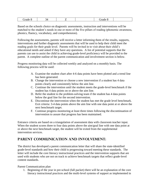| . .<br>_________<br>_________ |
|-------------------------------|
|-------------------------------|

Based on the schools choice on diagnostic assessments, instruction and interventions will be matched to the student's needs in one or more of the five pillars of reading (phonemic awareness, phonics, fluency, vocabulary, and comprehension).

Following the assessments, parents will receive a letter informing them of the results, supports, interventions and further diagnostic assessments that will be used to help their child meet the reading goals for their grade level. Parents will be invited in to visit about their child's educational needs and asked if they have any questions. A list of potential supports that the parents can use to assist the child in achieving grade-level proficiency will be provided to the parent. A complete outline of the parent communication and involvement section is below.

Progress monitoring data will be collected weekly and analyzed on a monthly basis. The following process will be used:

- A. Examine the student chart after 4-6 data points have been plotted and a trend line has been generated.
- B. Change the intervention or choose a new intervention if a student has 4 data points clearly and consistently below the aim line.
- C. Continue the intervention until the student meets the grade-level benchmark if the student has 4 data points on or above the aim line.
- D. Refer the student to the problem-solving team if the student has 4 data points below the goal line for the second intervention.
- E. Discontinue the intervention when the student has met the grade level benchmark. Exit criteria: 3-4 data points above the aim line with one data point at or above the next benchmark target.
- F. Continue progress monitoring at least three times following the discontinuation of intervention to assure that progress has been maintained.

Entrance criteria are based on a triangulation of assessment data with classroom teacher input. When the student scores three to four data points above the aim/goal line with one data point at or above the next benchmark target, the student will be exited from the supplemental intervention services.

### **Parent Communication and Involvement:**

The district has developed a parent communication letter that will share the state-identified grade-level standards and how their child is progressing toward meeting these standards. The letter will include the core literacy instructional practices and the intervention supports that are used with students who are not on track to achieve benchmark targets that reflect grade-level content standards.

#### Parent Communication plan

1. Beginning of the year in pre-school (fall packet) there will be an explanation of the core literacy instructional practices and the multi-level systems of support as implemented in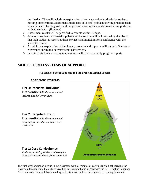the district. This will include an explanation of entrance and exit criteria for students needing interventions, assessments used, data collected, problem-solving practices used when indicated by diagnostic and progress monitoring data, and classroom supports used with all students. (Handout)

- 2. Assessment results will be provided to parents within 10 days.
- 3. Parents of students who need supplemental instruction will be informed by the district that their student is receiving these services and invited in for a conference with the student's teacher.
- 4. An additional explanation of the literacy program and supports will occur in October or November during fall parent/teacher conferences.
- 5. Parents of students receiving interventions will receive monthly progress reports.

### **Multi-Tiered Systems of Support:**

**A Model of School Supports and the Problem Solving Process**

#### **ACADEMIC SYSTEMS**

#### **Tier 3: Intensive, Individual**

**Interventions** *Students who need individualized interventions.*

#### **Tier 2: Targeted Group**

**Interventions** *Students who need more support in addition to the core curriculum.*

#### **Tier 1: Core Curriculum** *All*

*students, including students who require curricular enhancements for acceleration.*



The first level of support occurs in the classroom with 90 minutes of core instruction delivered by the classroom teacher using the district's reading curriculum that is aligned with the 2010 English Language Arts Standards. Research-based reading instruction will address the 5 strands of reading (phonemic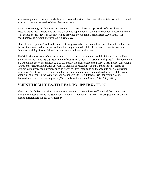awareness, phonics, fluency, vocabulary, and comprehension). Teachers differentiate instruction in small groups, according the needs of their diverse learners.

Based on screening and diagnostic assessments, the second level of support identifies students not meeting grade-level targets who are, then, provided supplemental reading interventions according to their skill deficit(s). This level of support will be provided by our Title 1 coordinator, LD teacher, RTI coordinator, and support staff available during day.

Students not responding well to the interventions provided at the second level are referred to and receive the most intensive and individualized level of support outside of the 90 minutes of core instruction. Students receiving Special Education services are included at this level.

The Multi-tiered systems of support can be traced to the work on data-based decision making by Deno and Mirkin (1977) and the US Department of Education's report *A Nation at Risk* (1983). The framework is a systematic use of assessment data to efficiently allocate resources to improve learning for all students (Burns and VanDerHeyden, 2006). A meta-analysis of research found that multi-tiered systems of support led to improved outcomes such as fewer children referred to and placed into special education programs. Additionally, results included higher achievement scores and reduced behavioral difficulties among all students (Burns, Appleton, and Stehouwer, 2005). Children at-risk for reading failure demonstrated improved reading skills (Marston, Muyskens, Lau, Canter, 2003; Tilly, 2003).

### **Scientifically-Based Reading Instruction:**

The scientifically-based reading curriculum Waseca uses is Houghton Mifflin which has been aligned with the Minnesota Academic Standards in English Language Arts (2010). Small group instruction is used to differentiate for our diver learners.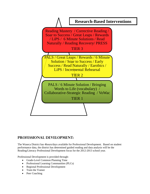

## **Professional Development:**

The Waseca District has 4hours/days available for Professional Development. Based on student performance data, the district has determined guided reading and data analysis will be the Reading/Literacy Professional Development focus for the 2012-2013 school year.

Professional Development is provided through:

- Grade-Level Common Planning Time
- Professional Learning Communities (PLCs)
- Regional Professional Development
- Train the Trainer
- Peer Coaching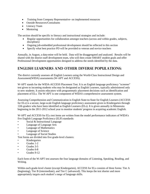- Training from Company Representative- on implemented resources
- Outside Resources/Consultants
- Literacy Team
- Mentoring

The section should be specific to literacy and instructional strategies and include:

- Regular opportunities for collaboration amongst teachers (across and within grades, subjects, disciplines)
- Ongoing job-embedded professional development should be reflected in this section
- Specify what best practice PD will be provided to veteran and novice teachers

Annually, in August, a data-mine will be held. Data will be disaggregated and analyzed. Results will be shared with the district staff development team, who will then create SMART student goals and offer Professional Development opportunities designed to address the needs identified by the data.

### **English Learners and Other Diverse Populations:**

The district currently assesses all English Learners using the World-Class Instructional Design and Assessment(WIDA) assessments (W-APT and ACCESS).

W-APT stands for the WIDA-ACCESS Placement Test. It is an English language proficiency "screener" test given to incoming students who may be designated as English Learners, typically administered only to new students. It assists educators with programmatic placement decisions such as identification and placement of ELs. The W-APT is one component of WIDA's comprehensive assessment system.

Assessing Comprehension and Communication in English State-to-State for English Learners (ACCESS for ELs) is a secure, large-scale English language proficiency assessment given to Kindergarten through 12th graders who have been identified as English Learners (ELs). It is given annually in Minnesota beginning in the 2011-2012 school year to monitor students' progress in acquiring academic English.

W-APT and ACCESS for ELs test items are written from the model performance indicators of WIDA's five English Language Proficiency (ELP) standards:

- Social & Instructional Language
- Language of Language Arts
- Language of Mathematics
- Language of Science
- Language of Social Studies

Test forms are divided into five grade-level clusters:

- Kindergarten
- Grades 1-2
- Grades 3-5
- Grades 6-8
- Grades 9-12

Each form of the W-APT test assesses the four language domains of Listening, Speaking, Reading, and Writing.

Within each grade-level cluster (except Kindergarten), ACCESS for ELs consists of three forms: Tier A (beginning), Tier B (intermediate), and Tier C (advanced). This keeps the test shorter and more appropriately targets each student's range of language skills.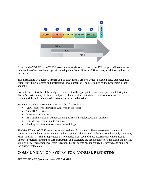| $\boxed{1}$     | 2                | €                 | $\left  \bm{A} \right $ | $\left(5\right)$ | 6<br><b>REACHING</b> |
|-----------------|------------------|-------------------|-------------------------|------------------|----------------------|
| <b>ENTERING</b> | <b>BEGINNING</b> | <b>DEVELOPING</b> | <b>EXPANDING</b>        | <b>BRIDGING</b>  |                      |
|                 | <b>TIER A</b>    |                   |                         |                  |                      |
|                 |                  | <b>TIER B</b>     |                         |                  |                      |
|                 |                  |                   | TIER C                  |                  |                      |
|                 |                  |                   |                         |                  |                      |

Based on the W-APT and ACCESS assessments, students who qualify for ESL support will receive the intervention of focused language skill development from a licensed ESL teacher, in addition to the core instruction.

This district has 14 English Learners and 66 students that are non-white. Based on these demographics, resources will be allocated and professional development will be determined by the Leadership Team annually.

Instructional materials will be analyzed for its culturally appropriate content and purchased during the district's curriculum cycle for core subjects. EL curriculum materials and interventions, used to develop language skills, will be updated as-needed or developed on-site.

Training / Coaching / Resources available for all school staff:

- SIOP (Sheltered Instruction Observation Protocol)
- Title III Activities:
- Integration Activities:
- ESL teachers take on trainer/coaching roles with regular education teachers
- Outside expert comes in to train staff
- Sending lead teachers to appropriate trainings

The W-APT and ACCESS assessments are used with EL students. These assessments are used in conjunction with the previously mentioned assessments administered to the entire student body: DIBELS, MAP, and MCAs. The disaggregated data compiled from each of those assessments will be used to improve programs, strengthen core instruction, and accelerate the acquisition of oral language and literacy skills of ELs. Each grade level team is responsible for accessing, analyzing, interpreting, and applying the disaggregated data.

## **Communication system for annual reporting:**

SEE TEMPLATE (excel document) FROM MDE!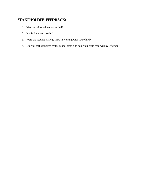# **Stakeholder feedback:**

- 1. Was the information easy to find?
- 2. Is this document useful?
- 3. Were the reading strategy links in working with your child?
- 4. Did you feel supported by the school district to help your child read well by 3<sup>rd</sup> grade?